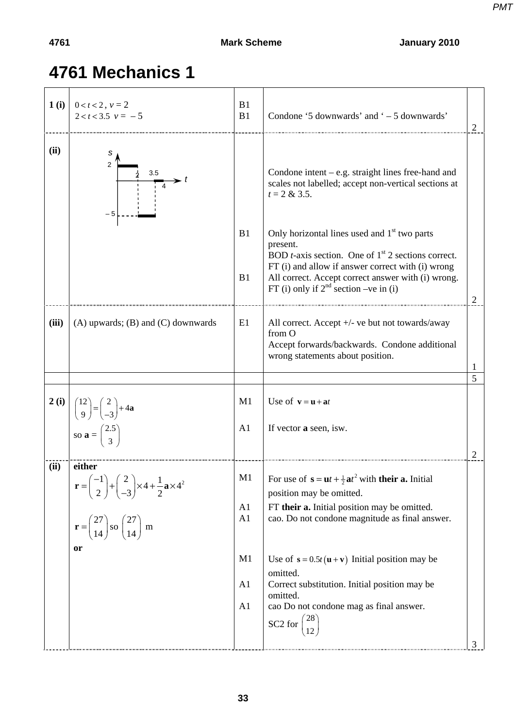*PMT*

## **4761 Mechanics 1**

| 1(i)  | $0 < t < 2$ , $v = 2$<br>$2 < t < 3.5$ $v = -5$                                                                                                                                                                                                                  | B1<br>B1                         | Condone '5 downwards' and ' – 5 downwards'                                                                                                                                                                                                                                                                                                                                                                               |   |
|-------|------------------------------------------------------------------------------------------------------------------------------------------------------------------------------------------------------------------------------------------------------------------|----------------------------------|--------------------------------------------------------------------------------------------------------------------------------------------------------------------------------------------------------------------------------------------------------------------------------------------------------------------------------------------------------------------------------------------------------------------------|---|
| (ii)  | s<br>3.5                                                                                                                                                                                                                                                         |                                  | Condone intent – e.g. straight lines free-hand and<br>scales not labelled; accept non-vertical sections at<br>$t = 2 & 3.5.$                                                                                                                                                                                                                                                                                             |   |
|       |                                                                                                                                                                                                                                                                  | B1<br>B1                         | Only horizontal lines used and 1 <sup>st</sup> two parts<br>present.<br>BOD <i>t</i> -axis section. One of $1st$ 2 sections correct.<br>FT (i) and allow if answer correct with (i) wrong<br>All correct. Accept correct answer with (i) wrong.<br>FT (i) only if $2^{nd}$ section –ve in (i)                                                                                                                            |   |
| (iii) | $(A)$ upwards; $(B)$ and $(C)$ downwards                                                                                                                                                                                                                         | E1                               | All correct. Accept +/- ve but not towards/away<br>from O<br>Accept forwards/backwards. Condone additional<br>wrong statements about position.                                                                                                                                                                                                                                                                           |   |
|       |                                                                                                                                                                                                                                                                  |                                  |                                                                                                                                                                                                                                                                                                                                                                                                                          | 5 |
| 2(i)  | $\begin{pmatrix} 12 \\ 9 \end{pmatrix} = \begin{pmatrix} 2 \\ -3 \end{pmatrix} + 4a$<br>so $\mathbf{a} = \begin{pmatrix} 2.5 \\ 3 \end{pmatrix}$                                                                                                                 | M1<br>A1                         | Use of $\mathbf{v} = \mathbf{u} + \mathbf{a}t$<br>If vector a seen, isw.                                                                                                                                                                                                                                                                                                                                                 |   |
| (ii)  | either<br>$\mathbf{r} = \begin{pmatrix} -1 \\ 2 \end{pmatrix} + \begin{pmatrix} 2 \\ -3 \end{pmatrix} \times 4 + \frac{1}{2} \mathbf{a} \times 4^2$<br>$\mathbf{r} = \begin{pmatrix} 27 \\ 14 \end{pmatrix}$ so $\begin{pmatrix} 27 \\ 14 \end{pmatrix}$ m<br>or | M1<br>A1<br>A1<br>M1<br>A1<br>A1 | For use of $\mathbf{s} = \mathbf{u}t + \frac{1}{2}\mathbf{a}t^2$ with their a. Initial<br>position may be omitted.<br>FT their a. Initial position may be omitted.<br>cao. Do not condone magnitude as final answer.<br>Use of $s = 0.5t(u + v)$ Initial position may be<br>omitted.<br>Correct substitution. Initial position may be<br>omitted.<br>cao Do not condone mag as final answer.<br>SC2 for $\binom{28}{12}$ | 3 |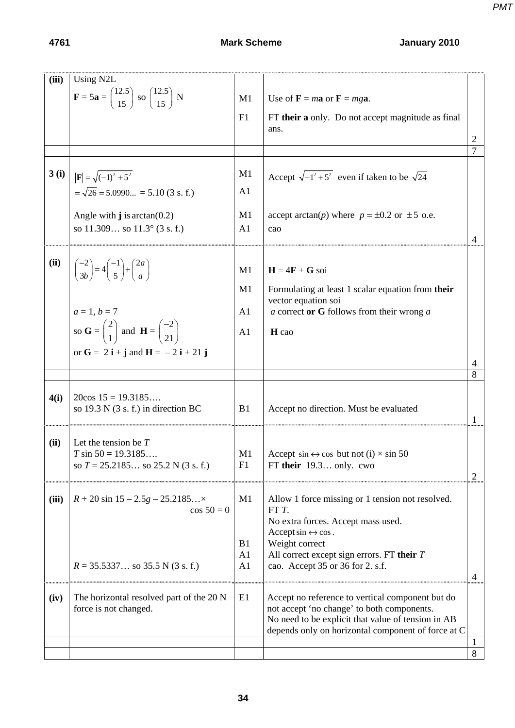| (iii) | Using N2L                                                                                                                  |                      |                                                                                              |   |
|-------|----------------------------------------------------------------------------------------------------------------------------|----------------------|----------------------------------------------------------------------------------------------|---|
|       | $\mathbf{F} = 5\mathbf{a} = \begin{pmatrix} 12.5 \\ 15 \end{pmatrix}$ so $\begin{pmatrix} 12.5 \\ 15 \end{pmatrix}$ N      | M1                   | Use of $\mathbf{F} = m\mathbf{a}$ or $\mathbf{F} = mg\mathbf{a}$ .                           |   |
|       |                                                                                                                            | F1                   | FT their a only. Do not accept magnitude as final                                            |   |
|       |                                                                                                                            |                      | ans.                                                                                         |   |
|       |                                                                                                                            |                      |                                                                                              | 2 |
|       |                                                                                                                            |                      |                                                                                              | 7 |
| 3(i)  |                                                                                                                            | M1                   | Accept $\sqrt{-1^2 + 5^2}$ even if taken to be $\sqrt{24}$                                   |   |
|       | $\ \mathbf{F}  = \sqrt{(-1)^2 + 5^2}$<br>= $\sqrt{26}$ = 5.0990 = 5.10 (3 s. f.)                                           | A <sub>1</sub>       |                                                                                              |   |
|       |                                                                                                                            |                      |                                                                                              |   |
|       | Angle with $\mathbf{j}$ is arctan(0.2)<br>so $11.309$ so $11.3^{\circ}$ (3 s. f.)                                          | M1<br>A <sub>1</sub> | accept arctan(p) where $p = \pm 0.2$ or $\pm 5$ o.e.<br>cao                                  |   |
|       |                                                                                                                            |                      |                                                                                              | 4 |
|       |                                                                                                                            |                      |                                                                                              |   |
| (ii)  | $\begin{pmatrix} -2 \\ 3b \end{pmatrix} = 4 \begin{pmatrix} -1 \\ 5 \end{pmatrix} + \begin{pmatrix} 2a \\ a \end{pmatrix}$ | M1                   | $H = 4F + G$ soi                                                                             |   |
|       |                                                                                                                            | M1                   | Formulating at least 1 scalar equation from their                                            |   |
|       |                                                                                                                            |                      | vector equation soi                                                                          |   |
|       | $a = 1, b = 7$                                                                                                             | A <sub>1</sub>       | $a$ correct or G follows from their wrong $a$                                                |   |
|       | so $G = \begin{pmatrix} 2 \\ 1 \end{pmatrix}$ and $H = \begin{pmatrix} -2 \\ 21 \end{pmatrix}$                             | A <sub>1</sub>       | H cao                                                                                        |   |
|       | or $G = 2i + j$ and $H = -2i + 21j$                                                                                        |                      |                                                                                              |   |
|       |                                                                                                                            |                      |                                                                                              |   |
|       |                                                                                                                            |                      |                                                                                              | 8 |
| 4(i)  | $20\cos 15 = 19.3185$                                                                                                      |                      |                                                                                              |   |
|       | so $19.3$ N $(3 s. f.)$ in direction BC                                                                                    | B1                   | Accept no direction. Must be evaluated                                                       |   |
|       |                                                                                                                            |                      |                                                                                              |   |
| (ii)  | Let the tension be $T$                                                                                                     |                      |                                                                                              |   |
|       | $T \sin 50 = 19.3185$<br>so $T = 25.2185$ so $25.2$ N (3 s. f.)                                                            | M1<br>F1             | Accept $\sin \leftrightarrow \cos$ but not (i) $\times \sin 50$<br>FT their $19.3$ only. cwo |   |
|       |                                                                                                                            |                      |                                                                                              | 2 |
| (iii) | $R + 20 \sin 15 - 2.5g - 25.2185$                                                                                          | M1                   | Allow 1 force missing or 1 tension not resolved.                                             |   |
|       | $\cos 50 = 0$                                                                                                              |                      | FT T.                                                                                        |   |
|       |                                                                                                                            |                      | No extra forces. Accept mass used.<br>Accept $\sin \leftrightarrow \cos$ .                   |   |
|       |                                                                                                                            | B1                   | Weight correct                                                                               |   |
|       |                                                                                                                            | A <sub>1</sub>       | All correct except sign errors. FT their $T$                                                 |   |
|       | $R = 35.5337$ so 35.5 N (3 s. f.)                                                                                          | A <sub>1</sub>       | cao. Accept 35 or 36 for 2. s.f.                                                             | 4 |
| (iv)  | The horizontal resolved part of the 20 N                                                                                   | E1                   | Accept no reference to vertical component but do                                             |   |
|       | force is not changed.                                                                                                      |                      | not accept 'no change' to both components.                                                   |   |
|       |                                                                                                                            |                      | No need to be explicit that value of tension in AB                                           |   |
|       |                                                                                                                            |                      | depends only on horizontal component of force at C                                           |   |
|       |                                                                                                                            |                      |                                                                                              | 8 |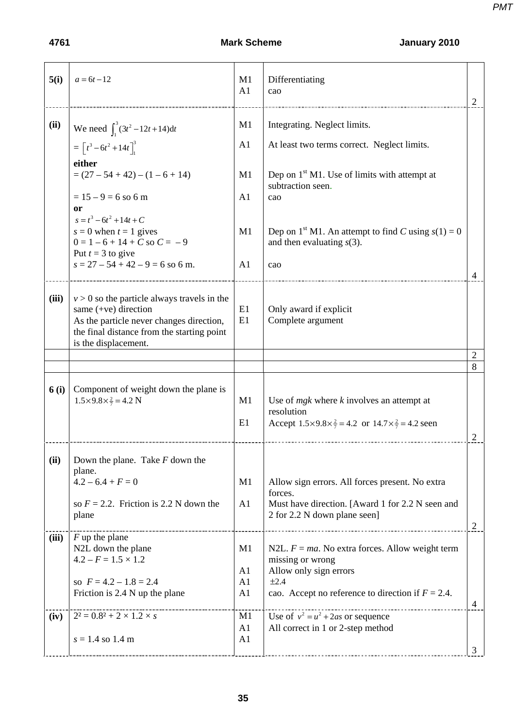| 5(i)          | $a = 6t - 12$                                                                                                                                                                             | M1<br>A1                                                             | Differentiating<br>cao                                                                                                                                                                                                                        | 2                                |
|---------------|-------------------------------------------------------------------------------------------------------------------------------------------------------------------------------------------|----------------------------------------------------------------------|-----------------------------------------------------------------------------------------------------------------------------------------------------------------------------------------------------------------------------------------------|----------------------------------|
| (ii)          | We need $\int_1^3 (3t^2 - 12t + 14) dt$<br>$=\left[t^3-6t^2+14t\right]_1^3$<br>either                                                                                                     | M1<br>A1                                                             | Integrating. Neglect limits.<br>At least two terms correct. Neglect limits.                                                                                                                                                                   |                                  |
|               | $= (27 - 54 + 42) - (1 - 6 + 14)$<br>$= 15 - 9 = 6$ so 6 m<br>0r<br>$s = t^3 - 6t^2 + 14t + C$                                                                                            | M1<br>A <sub>1</sub>                                                 | Dep on $1st M1$ . Use of limits with attempt at<br>subtraction seen.<br>cao                                                                                                                                                                   |                                  |
|               | $s = 0$ when $t = 1$ gives<br>$0 = 1 - 6 + 14 + C$ so $C = -9$<br>Put $t = 3$ to give<br>$s = 27 - 54 + 42 - 9 = 6$ so 6 m.                                                               | M1<br>A <sub>1</sub>                                                 | Dep on 1 <sup>st</sup> M1. An attempt to find C using $s(1) = 0$<br>and then evaluating $s(3)$ .<br>cao                                                                                                                                       |                                  |
|               |                                                                                                                                                                                           |                                                                      |                                                                                                                                                                                                                                               | 4                                |
| (iii)         | $v > 0$ so the particle always travels in the<br>same $(+ve)$ direction<br>As the particle never changes direction,<br>the final distance from the starting point<br>is the displacement. | E1<br>E1                                                             | Only award if explicit<br>Complete argument                                                                                                                                                                                                   |                                  |
|               |                                                                                                                                                                                           |                                                                      |                                                                                                                                                                                                                                               | 2<br>8                           |
| 6(i)          | Component of weight down the plane is<br>$1.5 \times 9.8 \times \frac{2}{7} = 4.2$ N                                                                                                      | M1<br>E1                                                             | Use of $m g k$ where $k$ involves an attempt at<br>resolution<br>Accept $1.5 \times 9.8 \times \frac{2}{7} = 4.2$ or $14.7 \times \frac{2}{7} = 4.2$ seen                                                                                     | 2                                |
| (ii)          | Down the plane. Take $F$ down the<br>plane.<br>$4.2 - 6.4 + F = 0$<br>so $F = 2.2$ . Friction is 2.2 N down the                                                                           | M1<br>A <sub>1</sub>                                                 | Allow sign errors. All forces present. No extra<br>forces.<br>Must have direction. [Award 1 for 2.2 N seen and                                                                                                                                |                                  |
|               | plane                                                                                                                                                                                     |                                                                      | 2 for 2.2 N down plane seen]                                                                                                                                                                                                                  |                                  |
| (iii)<br>(iv) | $F$ up the plane<br>N2L down the plane<br>$4.2 - F = 1.5 \times 1.2$<br>so $F = 4.2 - 1.8 = 2.4$<br>Friction is 2.4 N up the plane<br>$2^2 = 0.8^2 + 2 \times 1.2 \times s$               | M1<br>A <sub>1</sub><br>A1<br>A <sub>1</sub><br>M1<br>A <sub>1</sub> | N2L. $F = ma$ . No extra forces. Allow weight term<br>missing or wrong<br>Allow only sign errors<br>±2.4<br>cao. Accept no reference to direction if $F = 2.4$ .<br>Use of $v^2 = u^2 + 2as$ or sequence<br>All correct in 1 or 2-step method | $\overline{2}$<br>$\overline{4}$ |
|               | $s = 1.4$ so 1.4 m                                                                                                                                                                        | A <sub>1</sub>                                                       |                                                                                                                                                                                                                                               | 3                                |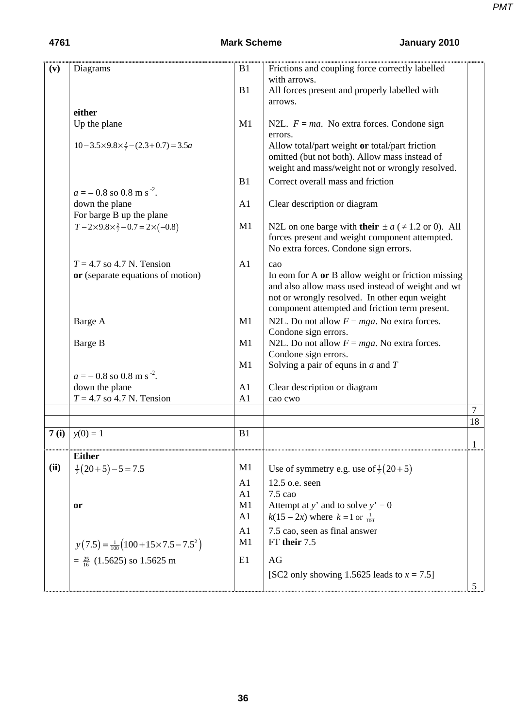| (v)  | $\frac{1}{\text{B1}}$<br>Diagrams                      |                      | Frictions and coupling force correctly labelled                                                                                                          |                |
|------|--------------------------------------------------------|----------------------|----------------------------------------------------------------------------------------------------------------------------------------------------------|----------------|
|      |                                                        |                      | with arrows.                                                                                                                                             |                |
|      |                                                        | B1                   | All forces present and properly labelled with                                                                                                            |                |
|      |                                                        |                      | arrows.                                                                                                                                                  |                |
|      | either                                                 |                      |                                                                                                                                                          |                |
|      | Up the plane                                           | M1                   | N2L. $F = ma$ . No extra forces. Condone sign<br>errors.                                                                                                 |                |
|      | $10-3.5\times9.8\times\frac{2}{7}-(2.3+0.7)=3.5a$      |                      | Allow total/part weight or total/part friction<br>omitted (but not both). Allow mass instead of<br>weight and mass/weight not or wrongly resolved.       |                |
|      | $a = -0.8$ so 0.8 m s <sup>-2</sup> .                  | B1                   | Correct overall mass and friction                                                                                                                        |                |
|      | down the plane                                         | A1                   | Clear description or diagram                                                                                                                             |                |
|      | For barge B up the plane                               |                      |                                                                                                                                                          |                |
|      | $T-2\times9.8\times\frac{2}{7}-0.7=2\times(-0.8)$      | M1                   | N2L on one barge with their $\pm a$ ( $\neq$ 1.2 or 0). All<br>forces present and weight component attempted.<br>No extra forces. Condone sign errors.   |                |
|      | $T = 4.7$ so 4.7 N. Tension                            | A1                   | cao                                                                                                                                                      |                |
|      | or (separate equations of motion)                      |                      | In eom for A or B allow weight or friction missing<br>and also allow mass used instead of weight and wt<br>not or wrongly resolved. In other equn weight |                |
|      |                                                        |                      | component attempted and friction term present.                                                                                                           |                |
|      | Barge A                                                | M1                   | N2L. Do not allow $F = mga$ . No extra forces.                                                                                                           |                |
|      |                                                        |                      | Condone sign errors.                                                                                                                                     |                |
|      | Barge B                                                | M1                   | N2L. Do not allow $F = mga$ . No extra forces.                                                                                                           |                |
|      |                                                        | M1                   | Condone sign errors.<br>Solving a pair of equns in $a$ and $T$                                                                                           |                |
|      | $a = -0.8$ so 0.8 m s <sup>-2</sup> .                  |                      |                                                                                                                                                          |                |
|      | down the plane                                         | A1                   | Clear description or diagram                                                                                                                             |                |
|      | $T = 4.7$ so 4.7 N. Tension                            | A1                   | cao cwo                                                                                                                                                  |                |
|      |                                                        |                      |                                                                                                                                                          | $\overline{7}$ |
|      |                                                        |                      |                                                                                                                                                          | 18             |
| 7(i) | $y(0) = 1$                                             | B1                   |                                                                                                                                                          | 1              |
|      | <b>Either</b>                                          |                      |                                                                                                                                                          |                |
| (ii) | $\frac{1}{2}(20+5)-5=7.5$                              | M1                   | Use of symmetry e.g. use of $\frac{1}{2}(20+5)$                                                                                                          |                |
|      |                                                        |                      |                                                                                                                                                          |                |
|      |                                                        | A1                   | 12.5 o.e. seen                                                                                                                                           |                |
|      |                                                        | A1<br>M1             | 7.5 cao<br>Attempt at y' and to solve $y' = 0$                                                                                                           |                |
|      | or                                                     | A <sub>1</sub>       |                                                                                                                                                          |                |
|      |                                                        |                      | $k(15-2x)$ where $k=1$ or $\frac{1}{100}$                                                                                                                |                |
|      | $y(7.5) = \frac{1}{100} (100 + 15 \times 7.5 - 7.5^2)$ | A1<br>M <sub>1</sub> | 7.5 cao, seen as final answer<br>FT their 7.5                                                                                                            |                |
|      | $=\frac{25}{16}$ (1.5625) so 1.5625 m                  | E1                   | AG                                                                                                                                                       |                |
|      |                                                        |                      | [SC2 only showing 1.5625 leads to $x = 7.5$ ]                                                                                                            |                |
|      |                                                        |                      |                                                                                                                                                          | 5              |
|      |                                                        |                      |                                                                                                                                                          |                |